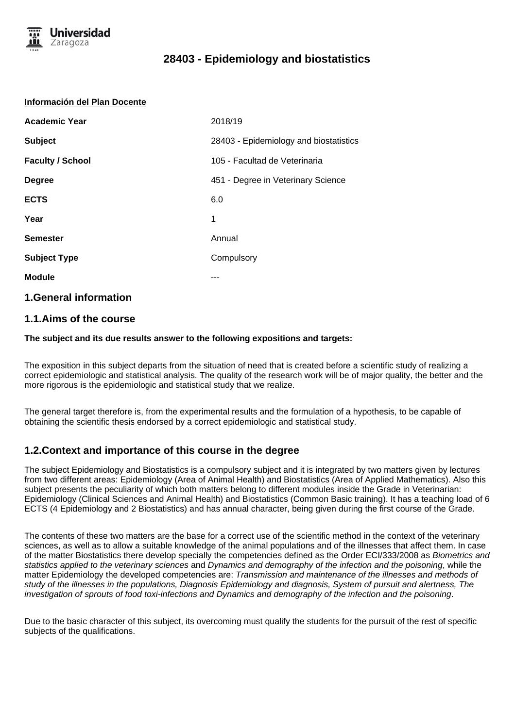

#### **Información del Plan Docente**

| <b>Academic Year</b>    | 2018/19                                |
|-------------------------|----------------------------------------|
| <b>Subject</b>          | 28403 - Epidemiology and biostatistics |
| <b>Faculty / School</b> | 105 - Facultad de Veterinaria          |
| <b>Degree</b>           | 451 - Degree in Veterinary Science     |
| <b>ECTS</b>             | 6.0                                    |
| Year                    | 1                                      |
| <b>Semester</b>         | Annual                                 |
| <b>Subject Type</b>     | Compulsory                             |
| <b>Module</b>           |                                        |
|                         |                                        |

#### **1.General information**

#### **1.1.Aims of the course**

#### **The subject and its due results answer to the following expositions and targets:**

The exposition in this subject departs from the situation of need that is created before a scientific study of realizing a correct epidemiologic and statistical analysis. The quality of the research work will be of major quality, the better and the more rigorous is the epidemiologic and statistical study that we realize.

The general target therefore is, from the experimental results and the formulation of a hypothesis, to be capable of obtaining the scientific thesis endorsed by a correct epidemiologic and statistical study.

#### **1.2.Context and importance of this course in the degree**

The subject Epidemiology and Biostatistics is a compulsory subject and it is integrated by two matters given by lectures from two different areas: Epidemiology (Area of Animal Health) and Biostatistics (Area of Applied Mathematics). Also this subject presents the peculiarity of which both matters belong to different modules inside the Grade in Veterinarian: Epidemiology (Clinical Sciences and Animal Health) and Biostatistics (Common Basic training). It has a teaching load of 6 ECTS (4 Epidemiology and 2 Biostatistics) and has annual character, being given during the first course of the Grade.

The contents of these two matters are the base for a correct use of the scientific method in the context of the veterinary sciences, as well as to allow a suitable knowledge of the animal populations and of the illnesses that affect them. In case of the matter Biostatistics there develop specially the competencies defined as the Order ECI/333/2008 as Biometrics and statistics applied to the veterinary sciences and Dynamics and demography of the infection and the poisoning, while the matter Epidemiology the developed competencies are: Transmission and maintenance of the illnesses and methods of study of the illnesses in the populations, Diagnosis Epidemiology and diagnosis, System of pursuit and alertness, The investigation of sprouts of food toxi-infections and Dynamics and demography of the infection and the poisoning.

Due to the basic character of this subject, its overcoming must qualify the students for the pursuit of the rest of specific subjects of the qualifications.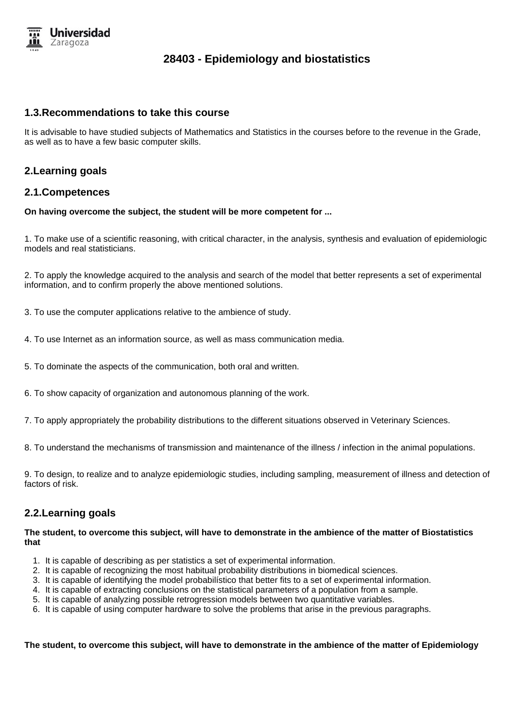

#### **1.3.Recommendations to take this course**

It is advisable to have studied subjects of Mathematics and Statistics in the courses before to the revenue in the Grade, as well as to have a few basic computer skills.

#### **2.Learning goals**

#### **2.1.Competences**

**On having overcome the subject, the student will be more competent for ...**

1. To make use of a scientific reasoning, with critical character, in the analysis, synthesis and evaluation of epidemiologic models and real statisticians.

2. To apply the knowledge acquired to the analysis and search of the model that better represents a set of experimental information, and to confirm properly the above mentioned solutions.

3. To use the computer applications relative to the ambience of study.

- 4. To use Internet as an information source, as well as mass communication media.
- 5. To dominate the aspects of the communication, both oral and written.

6. To show capacity of organization and autonomous planning of the work.

7. To apply appropriately the probability distributions to the different situations observed in Veterinary Sciences.

8. To understand the mechanisms of transmission and maintenance of the illness / infection in the animal populations.

9. To design, to realize and to analyze epidemiologic studies, including sampling, measurement of illness and detection of factors of risk.

#### **2.2.Learning goals**

#### **The student, to overcome this subject, will have to demonstrate in the ambience of the matter of Biostatistics that**

- 1. It is capable of describing as per statistics a set of experimental information.
- 2. It is capable of recognizing the most habitual probability distributions in biomedical sciences.
- 3. It is capable of identifying the model probabilístico that better fits to a set of experimental information.
- 4. It is capable of extracting conclusions on the statistical parameters of a population from a sample.
- 5. It is capable of analyzing possible retrogression models between two quantitative variables.
- 6. It is capable of using computer hardware to solve the problems that arise in the previous paragraphs.

#### **The student, to overcome this subject, will have to demonstrate in the ambience of the matter of Epidemiology**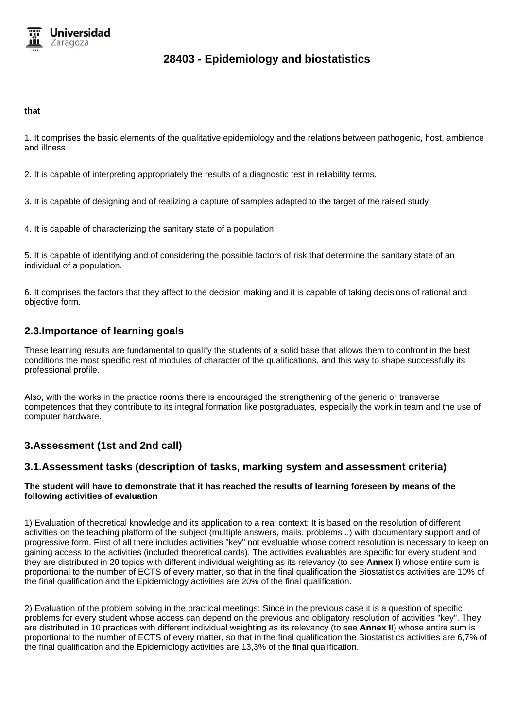

#### **that**

1. It comprises the basic elements of the qualitative epidemiology and the relations between pathogenic, host, ambience and illness

2. It is capable of interpreting appropriately the results of a diagnostic test in reliability terms.

3. It is capable of designing and of realizing a capture of samples adapted to the target of the raised study

4. It is capable of characterizing the sanitary state of a population

5. It is capable of identifying and of considering the possible factors of risk that determine the sanitary state of an individual of a population.

6. It comprises the factors that they affect to the decision making and it is capable of taking decisions of rational and objective form.

#### **2.3.Importance of learning goals**

These learning results are fundamental to qualify the students of a solid base that allows them to confront in the best conditions the most specific rest of modules of character of the qualifications, and this way to shape successfully its professional profile.

Also, with the works in the practice rooms there is encouraged the strengthening of the generic or transverse competences that they contribute to its integral formation like postgraduates, especially the work in team and the use of computer hardware.

### **3.Assessment (1st and 2nd call)**

#### **3.1.Assessment tasks (description of tasks, marking system and assessment criteria)**

#### **The student will have to demonstrate that it has reached the results of learning foreseen by means of the following activities of evaluation**

1) Evaluation of theoretical knowledge and its application to a real context: It is based on the resolution of different activities on the teaching platform of the subject (multiple answers, mails, problems...) with documentary support and of progressive form. First of all there includes activities "key" not evaluable whose correct resolution is necessary to keep on gaining access to the activities (included theoretical cards). The activities evaluables are specific for every student and they are distributed in 20 topics with different individual weighting as its relevancy (to see **Annex I**) whose entire sum is proportional to the number of ECTS of every matter, so that in the final qualification the Biostatistics activities are 10% of the final qualification and the Epidemiology activities are 20% of the final qualification.

2) Evaluation of the problem solving in the practical meetings: Since in the previous case it is a question of specific problems for every student whose access can depend on the previous and obligatory resolution of activities "key". They are distributed in 10 practices with different individual weighting as its relevancy (to see **Annex II**) whose entire sum is proportional to the number of ECTS of every matter, so that in the final qualification the Biostatistics activities are 6,7% of the final qualification and the Epidemiology activities are 13,3% of the final qualification.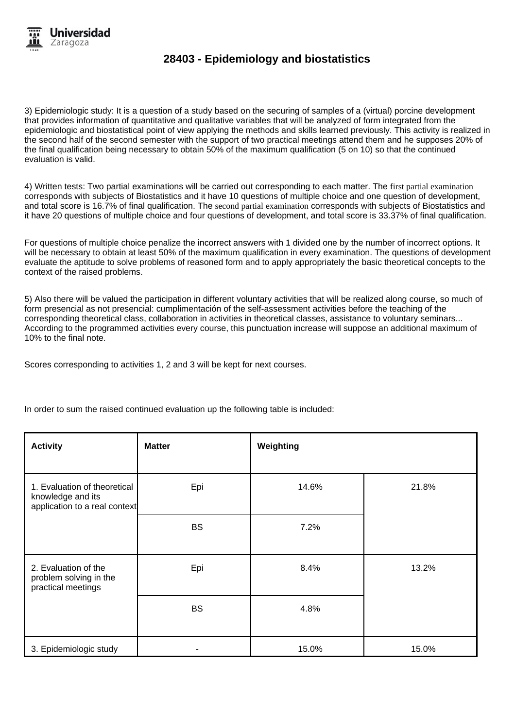

3) Epidemiologic study: It is a question of a study based on the securing of samples of a (virtual) porcine development that provides information of quantitative and qualitative variables that will be analyzed of form integrated from the epidemiologic and biostatistical point of view applying the methods and skills learned previously. This activity is realized in the second half of the second semester with the support of two practical meetings attend them and he supposes 20% of the final qualification being necessary to obtain 50% of the maximum qualification (5 on 10) so that the continued evaluation is valid.

4) Written tests: Two partial examinations will be carried out corresponding to each matter. The first partial examination corresponds with subjects of Biostatistics and it have 10 questions of multiple choice and one question of development, and total score is 16.7% of final qualification. The second partial examination corresponds with subjects of Biostatistics and it have 20 questions of multiple choice and four questions of development, and total score is 33.37% of final qualification.

For questions of multiple choice penalize the incorrect answers with 1 divided one by the number of incorrect options. It will be necessary to obtain at least 50% of the maximum qualification in every examination. The questions of development evaluate the aptitude to solve problems of reasoned form and to apply appropriately the basic theoretical concepts to the context of the raised problems.

5) Also there will be valued the participation in different voluntary activities that will be realized along course, so much of form presencial as not presencial: cumplimentación of the self-assessment activities before the teaching of the corresponding theoretical class, collaboration in activities in theoretical classes, assistance to voluntary seminars... According to the programmed activities every course, this punctuation increase will suppose an additional maximum of 10% to the final note.

Scores corresponding to activities 1, 2 and 3 will be kept for next courses.

In order to sum the raised continued evaluation up the following table is included:

| <b>Activity</b>                                                                    | <b>Matter</b> | Weighting |       |
|------------------------------------------------------------------------------------|---------------|-----------|-------|
| 1. Evaluation of theoretical<br>knowledge and its<br>application to a real context | Epi           | 14.6%     | 21.8% |
|                                                                                    | <b>BS</b>     | 7.2%      |       |
| 2. Evaluation of the<br>problem solving in the<br>practical meetings               | Epi           | 8.4%      | 13.2% |
|                                                                                    | <b>BS</b>     | 4.8%      |       |
| 3. Epidemiologic study                                                             |               | 15.0%     | 15.0% |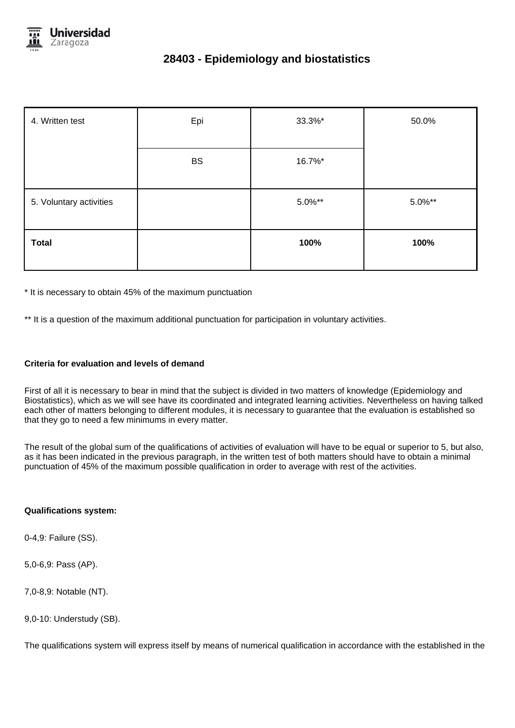

| 4. Written test         | Epi       | 33.3%*    | 50.0%     |
|-------------------------|-----------|-----------|-----------|
|                         | <b>BS</b> | 16.7%*    |           |
| 5. Voluntary activities |           | $5.0\%**$ | $5.0\%**$ |
| <b>Total</b>            |           | 100%      | 100%      |

\* It is necessary to obtain 45% of the maximum punctuation

\*\* It is a question of the maximum additional punctuation for participation in voluntary activities.

#### **Criteria for evaluation and levels of demand**

First of all it is necessary to bear in mind that the subject is divided in two matters of knowledge (Epidemiology and Biostatistics), which as we will see have its coordinated and integrated learning activities. Nevertheless on having talked each other of matters belonging to different modules, it is necessary to guarantee that the evaluation is established so that they go to need a few minimums in every matter.

The result of the global sum of the qualifications of activities of evaluation will have to be equal or superior to 5, but also, as it has been indicated in the previous paragraph, in the written test of both matters should have to obtain a minimal punctuation of 45% of the maximum possible qualification in order to average with rest of the activities.

#### **Qualifications system:**

0-4,9: Failure (SS).

5,0-6,9: Pass (AP).

7,0-8,9: Notable (NT).

9,0-10: Understudy (SB).

The qualifications system will express itself by means of numerical qualification in accordance with the established in the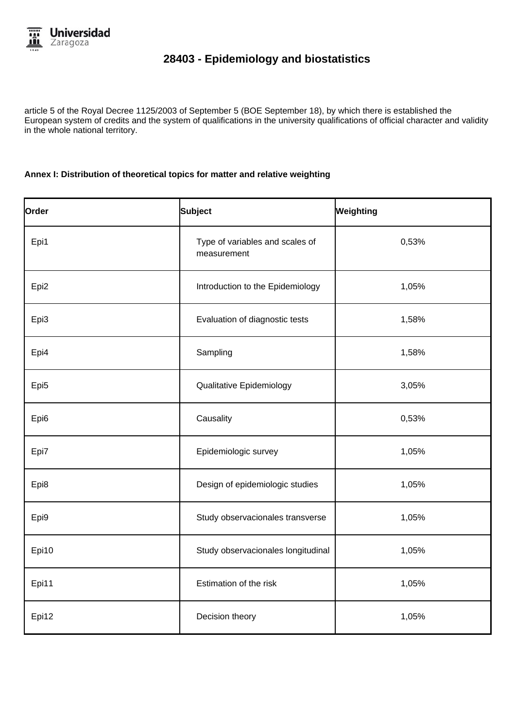

article 5 of the Royal Decree 1125/2003 of September 5 (BOE September 18), by which there is established the European system of credits and the system of qualifications in the university qualifications of official character and validity in the whole national territory.

#### **Annex I: Distribution of theoretical topics for matter and relative weighting**

| Order            | <b>Subject</b>                                 | Weighting |  |
|------------------|------------------------------------------------|-----------|--|
| Epi1             | Type of variables and scales of<br>measurement | 0,53%     |  |
| Epi2             | Introduction to the Epidemiology               | 1,05%     |  |
| Epi3             | Evaluation of diagnostic tests                 | 1,58%     |  |
| Epi4             | Sampling                                       | 1,58%     |  |
| Epi <sub>5</sub> | Qualitative Epidemiology                       | 3,05%     |  |
| Epi6             | Causality                                      | 0,53%     |  |
| Epi7             | Epidemiologic survey                           | 1,05%     |  |
| Epi8             | Design of epidemiologic studies                | 1,05%     |  |
| Epi9             | Study observacionales transverse               | 1,05%     |  |
| Epi10            | Study observacionales longitudinal             | 1,05%     |  |
| Epi11            | Estimation of the risk                         | 1,05%     |  |
| Epi12            | Decision theory                                | 1,05%     |  |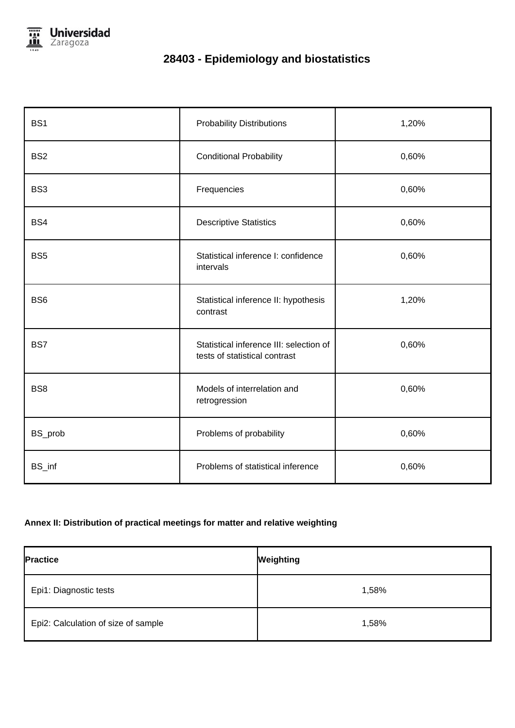

| BS1             | <b>Probability Distributions</b>                                         | 1,20% |
|-----------------|--------------------------------------------------------------------------|-------|
| BS <sub>2</sub> | <b>Conditional Probability</b>                                           | 0,60% |
| BS3             | Frequencies                                                              | 0,60% |
| BS4             | <b>Descriptive Statistics</b>                                            | 0,60% |
| BS <sub>5</sub> | Statistical inference I: confidence<br>intervals                         | 0,60% |
| BS <sub>6</sub> | Statistical inference II: hypothesis<br>contrast                         | 1,20% |
| BS7             | Statistical inference III: selection of<br>tests of statistical contrast | 0,60% |
| BS <sub>8</sub> | Models of interrelation and<br>retrogression                             | 0,60% |
| BS_prob         | Problems of probability                                                  | 0,60% |
| BS_inf          | Problems of statistical inference                                        | 0,60% |

### **Annex II: Distribution of practical meetings for matter and relative weighting**

| <b>Practice</b>                     | Weighting |
|-------------------------------------|-----------|
| Epi1: Diagnostic tests              | 1,58%     |
| Epi2: Calculation of size of sample | 1,58%     |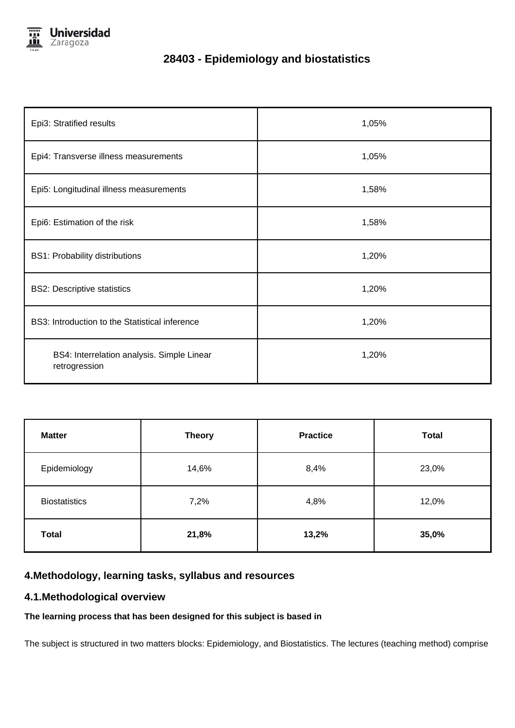

| Epi3: Stratified results                                    | 1,05% |
|-------------------------------------------------------------|-------|
| Epi4: Transverse illness measurements                       | 1,05% |
| Epi5: Longitudinal illness measurements                     | 1,58% |
| Epi6: Estimation of the risk                                | 1,58% |
| BS1: Probability distributions                              | 1,20% |
| <b>BS2: Descriptive statistics</b>                          | 1,20% |
| BS3: Introduction to the Statistical inference              | 1,20% |
| BS4: Interrelation analysis. Simple Linear<br>retrogression | 1,20% |

| <b>Matter</b>        | <b>Theory</b> | <b>Practice</b> | <b>Total</b> |
|----------------------|---------------|-----------------|--------------|
| Epidemiology         | 14,6%         | 8,4%            | 23,0%        |
| <b>Biostatistics</b> | 7,2%          | 4,8%            | 12,0%        |
| <b>Total</b>         | 21,8%         | 13,2%           | 35,0%        |

## **4.Methodology, learning tasks, syllabus and resources**

#### **4.1.Methodological overview**

#### **The learning process that has been designed for this subject is based in**

The subject is structured in two matters blocks: Epidemiology, and Biostatistics. The lectures (teaching method) comprise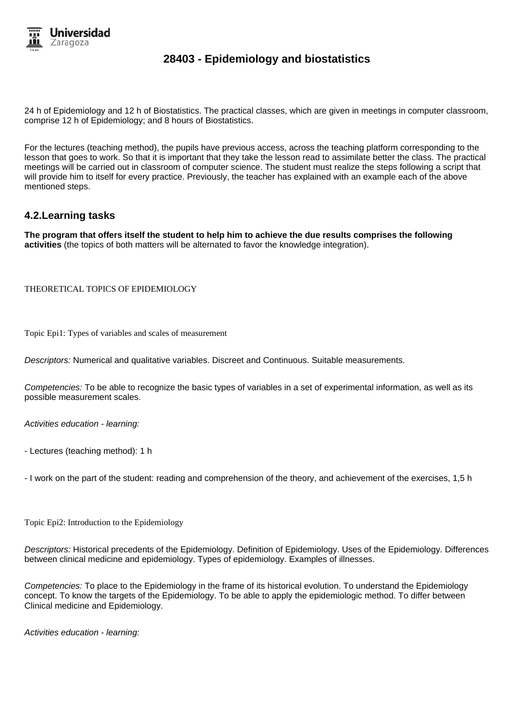

24 h of Epidemiology and 12 h of Biostatistics. The practical classes, which are given in meetings in computer classroom, comprise 12 h of Epidemiology; and 8 hours of Biostatistics.

For the lectures (teaching method), the pupils have previous access, across the teaching platform corresponding to the lesson that goes to work. So that it is important that they take the lesson read to assimilate better the class. The practical meetings will be carried out in classroom of computer science. The student must realize the steps following a script that will provide him to itself for every practice. Previously, the teacher has explained with an example each of the above mentioned steps.

#### **4.2.Learning tasks**

**The program that offers itself the student to help him to achieve the due results comprises the following activities** (the topics of both matters will be alternated to favor the knowledge integration).

THEORETICAL TOPICS OF EPIDEMIOLOGY

Topic Epi1: Types of variables and scales of measurement

Descriptors: Numerical and qualitative variables. Discreet and Continuous. Suitable measurements.

Competencies: To be able to recognize the basic types of variables in a set of experimental information, as well as its possible measurement scales.

Activities education - learning:

- Lectures (teaching method): 1 h

- I work on the part of the student: reading and comprehension of the theory, and achievement of the exercises, 1,5 h

Topic Epi2: Introduction to the Epidemiology

Descriptors: Historical precedents of the Epidemiology. Definition of Epidemiology. Uses of the Epidemiology. Differences between clinical medicine and epidemiology. Types of epidemiology. Examples of illnesses.

Competencies: To place to the Epidemiology in the frame of its historical evolution. To understand the Epidemiology concept. To know the targets of the Epidemiology. To be able to apply the epidemiologic method. To differ between Clinical medicine and Epidemiology.

Activities education - learning: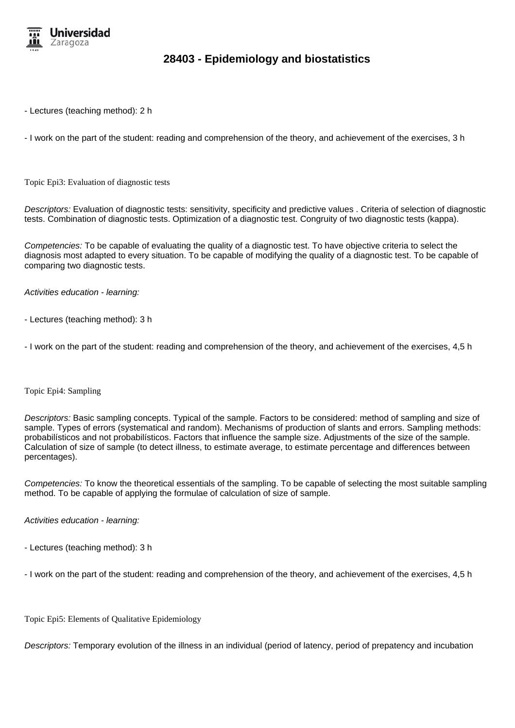

- Lectures (teaching method): 2 h

- I work on the part of the student: reading and comprehension of the theory, and achievement of the exercises, 3 h

Topic Epi3: Evaluation of diagnostic tests

Descriptors: Evaluation of diagnostic tests: sensitivity, specificity and predictive values . Criteria of selection of diagnostic tests. Combination of diagnostic tests. Optimization of a diagnostic test. Congruity of two diagnostic tests (kappa).

Competencies: To be capable of evaluating the quality of a diagnostic test. To have objective criteria to select the diagnosis most adapted to every situation. To be capable of modifying the quality of a diagnostic test. To be capable of comparing two diagnostic tests.

Activities education - learning:

- Lectures (teaching method): 3 h

- I work on the part of the student: reading and comprehension of the theory, and achievement of the exercises, 4,5 h

Topic Epi4: Sampling

Descriptors: Basic sampling concepts. Typical of the sample. Factors to be considered: method of sampling and size of sample. Types of errors (systematical and random). Mechanisms of production of slants and errors. Sampling methods: probabilísticos and not probabilísticos. Factors that influence the sample size. Adjustments of the size of the sample. Calculation of size of sample (to detect illness, to estimate average, to estimate percentage and differences between percentages).

Competencies: To know the theoretical essentials of the sampling. To be capable of selecting the most suitable sampling method. To be capable of applying the formulae of calculation of size of sample.

Activities education - learning:

- Lectures (teaching method): 3 h

- I work on the part of the student: reading and comprehension of the theory, and achievement of the exercises, 4,5 h

Topic Epi5: Elements of Qualitative Epidemiology

Descriptors: Temporary evolution of the illness in an individual (period of latency, period of prepatency and incubation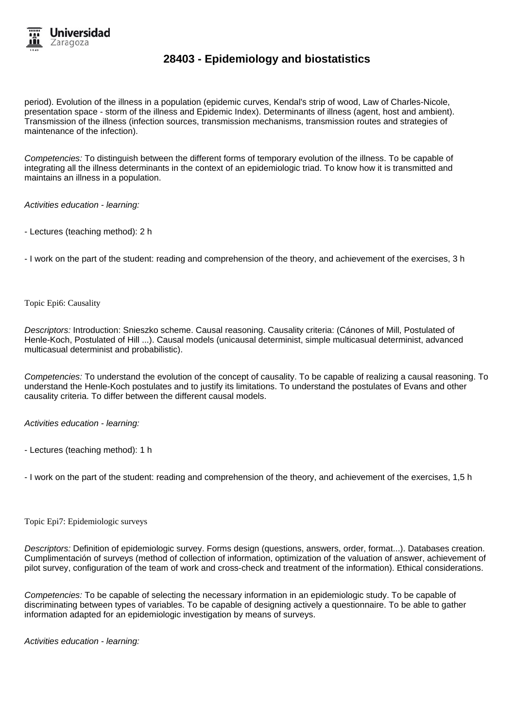

period). Evolution of the illness in a population (epidemic curves, Kendal's strip of wood, Law of Charles-Nicole, presentation space - storm of the illness and Epidemic Index). Determinants of illness (agent, host and ambient). Transmission of the illness (infection sources, transmission mechanisms, transmission routes and strategies of maintenance of the infection).

Competencies: To distinguish between the different forms of temporary evolution of the illness. To be capable of integrating all the illness determinants in the context of an epidemiologic triad. To know how it is transmitted and maintains an illness in a population.

Activities education - learning:

- Lectures (teaching method): 2 h

- I work on the part of the student: reading and comprehension of the theory, and achievement of the exercises, 3 h

Topic Epi6: Causality

Descriptors: Introduction: Snieszko scheme. Causal reasoning. Causality criteria: (Cánones of Mill, Postulated of Henle-Koch, Postulated of Hill ...). Causal models (unicausal determinist, simple multicasual determinist, advanced multicasual determinist and probabilistic).

Competencies: To understand the evolution of the concept of causality. To be capable of realizing a causal reasoning. To understand the Henle-Koch postulates and to justify its limitations. To understand the postulates of Evans and other causality criteria. To differ between the different causal models.

Activities education - learning:

- Lectures (teaching method): 1 h

- I work on the part of the student: reading and comprehension of the theory, and achievement of the exercises, 1,5 h

Topic Epi7: Epidemiologic surveys

Descriptors: Definition of epidemiologic survey. Forms design (questions, answers, order, format...). Databases creation. Cumplimentación of surveys (method of collection of information, optimization of the valuation of answer, achievement of pilot survey, configuration of the team of work and cross-check and treatment of the information). Ethical considerations.

Competencies: To be capable of selecting the necessary information in an epidemiologic study. To be capable of discriminating between types of variables. To be capable of designing actively a questionnaire. To be able to gather information adapted for an epidemiologic investigation by means of surveys.

Activities education - learning: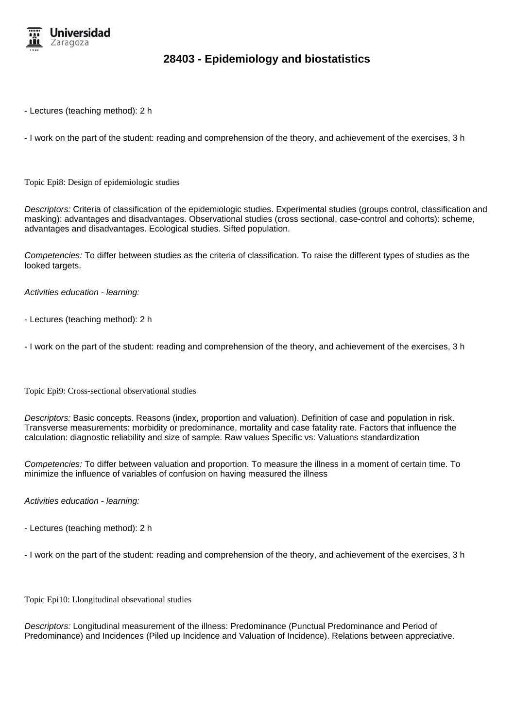

- Lectures (teaching method): 2 h

- I work on the part of the student: reading and comprehension of the theory, and achievement of the exercises, 3 h

Topic Epi8: Design of epidemiologic studies

Descriptors: Criteria of classification of the epidemiologic studies. Experimental studies (groups control, classification and masking): advantages and disadvantages. Observational studies (cross sectional, case-control and cohorts): scheme, advantages and disadvantages. Ecological studies. Sifted population.

Competencies: To differ between studies as the criteria of classification. To raise the different types of studies as the looked targets.

Activities education - learning:

- Lectures (teaching method): 2 h

- I work on the part of the student: reading and comprehension of the theory, and achievement of the exercises, 3 h

Topic Epi9: Cross-sectional observational studies

Descriptors: Basic concepts. Reasons (index, proportion and valuation). Definition of case and population in risk. Transverse measurements: morbidity or predominance, mortality and case fatality rate. Factors that influence the calculation: diagnostic reliability and size of sample. Raw values Specific vs: Valuations standardization

Competencies: To differ between valuation and proportion. To measure the illness in a moment of certain time. To minimize the influence of variables of confusion on having measured the illness

Activities education - learning:

- Lectures (teaching method): 2 h

- I work on the part of the student: reading and comprehension of the theory, and achievement of the exercises, 3 h

Topic Epi10: Llongitudinal obsevational studies

Descriptors: Longitudinal measurement of the illness: Predominance (Punctual Predominance and Period of Predominance) and Incidences (Piled up Incidence and Valuation of Incidence). Relations between appreciative.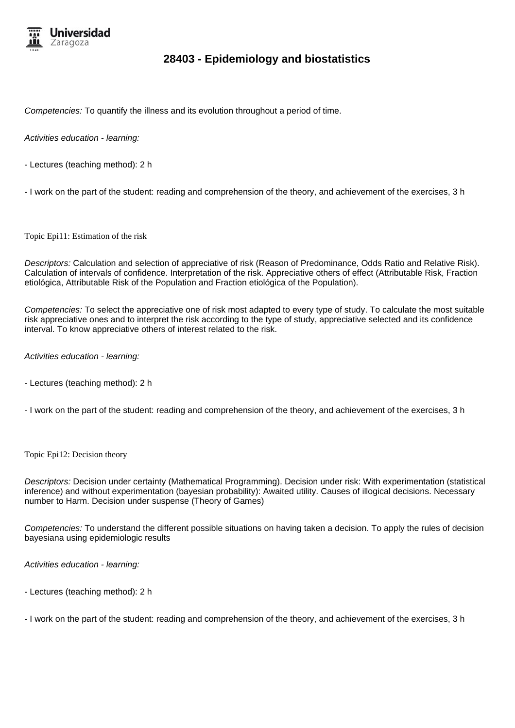

Competencies: To quantify the illness and its evolution throughout a period of time.

Activities education - learning:

- Lectures (teaching method): 2 h

- I work on the part of the student: reading and comprehension of the theory, and achievement of the exercises, 3 h

Topic Epi11: Estimation of the risk

Descriptors: Calculation and selection of appreciative of risk (Reason of Predominance, Odds Ratio and Relative Risk). Calculation of intervals of confidence. Interpretation of the risk. Appreciative others of effect (Attributable Risk, Fraction etiológica, Attributable Risk of the Population and Fraction etiológica of the Population).

Competencies: To select the appreciative one of risk most adapted to every type of study. To calculate the most suitable risk appreciative ones and to interpret the risk according to the type of study, appreciative selected and its confidence interval. To know appreciative others of interest related to the risk.

Activities education - learning:

- Lectures (teaching method): 2 h

- I work on the part of the student: reading and comprehension of the theory, and achievement of the exercises, 3 h

Topic Epi12: Decision theory

Descriptors: Decision under certainty (Mathematical Programming). Decision under risk: With experimentation (statistical inference) and without experimentation (bayesian probability): Awaited utility. Causes of illogical decisions. Necessary number to Harm. Decision under suspense (Theory of Games)

Competencies: To understand the different possible situations on having taken a decision. To apply the rules of decision bayesiana using epidemiologic results

Activities education - learning:

- Lectures (teaching method): 2 h

- I work on the part of the student: reading and comprehension of the theory, and achievement of the exercises, 3 h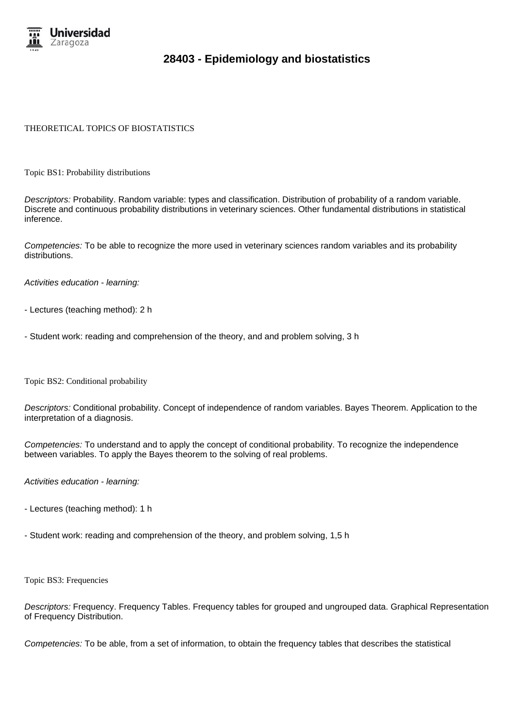

#### THEORETICAL TOPICS OF BIOSTATISTICS

Topic BS1: Probability distributions

Descriptors: Probability. Random variable: types and classification. Distribution of probability of a random variable. Discrete and continuous probability distributions in veterinary sciences. Other fundamental distributions in statistical inference.

Competencies: To be able to recognize the more used in veterinary sciences random variables and its probability distributions.

Activities education - learning:

- Lectures (teaching method): 2 h
- Student work: reading and comprehension of the theory, and and problem solving, 3 h

Topic BS2: Conditional probability

Descriptors: Conditional probability. Concept of independence of random variables. Bayes Theorem. Application to the interpretation of a diagnosis.

Competencies: To understand and to apply the concept of conditional probability. To recognize the independence between variables. To apply the Bayes theorem to the solving of real problems.

Activities education - learning:

- Lectures (teaching method): 1 h
- Student work: reading and comprehension of the theory, and problem solving, 1,5 h

Topic BS3: Frequencies

Descriptors: Frequency. Frequency Tables. Frequency tables for grouped and ungrouped data. Graphical Representation of Frequency Distribution.

Competencies: To be able, from a set of information, to obtain the frequency tables that describes the statistical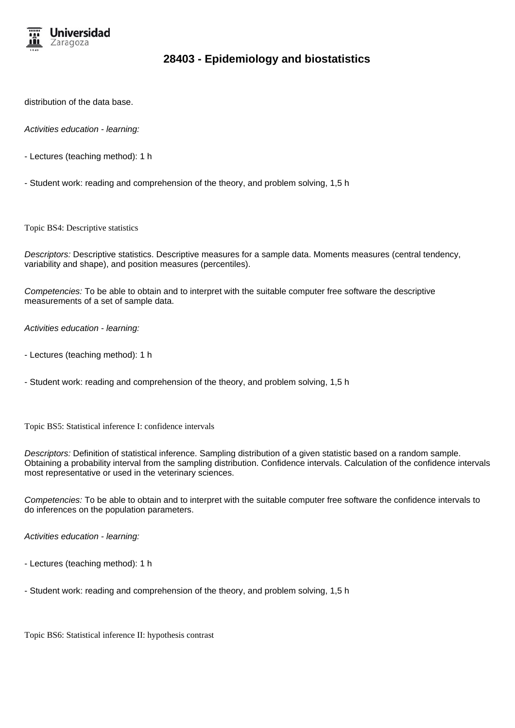

distribution of the data base.

Activities education - learning:

- Lectures (teaching method): 1 h

- Student work: reading and comprehension of the theory, and problem solving, 1,5 h

Topic BS4: Descriptive statistics

Descriptors: Descriptive statistics. Descriptive measures for a sample data. Moments measures (central tendency, variability and shape), and position measures (percentiles).

Competencies: To be able to obtain and to interpret with the suitable computer free software the descriptive measurements of a set of sample data.

Activities education - learning:

- Lectures (teaching method): 1 h

- Student work: reading and comprehension of the theory, and problem solving, 1,5 h

Topic BS5: Statistical inference I: confidence intervals

Descriptors: Definition of statistical inference. Sampling distribution of a given statistic based on a random sample. Obtaining a probability interval from the sampling distribution. Confidence intervals. Calculation of the confidence intervals most representative or used in the veterinary sciences.

Competencies: To be able to obtain and to interpret with the suitable computer free software the confidence intervals to do inferences on the population parameters.

Activities education - learning:

- Lectures (teaching method): 1 h

- Student work: reading and comprehension of the theory, and problem solving, 1,5 h

Topic BS6: Statistical inference II: hypothesis contrast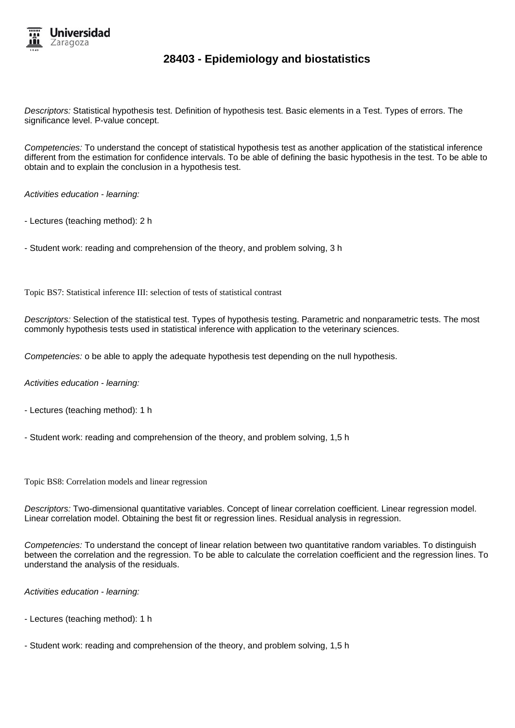

Descriptors: Statistical hypothesis test. Definition of hypothesis test. Basic elements in a Test. Types of errors. The significance level. P-value concept.

Competencies: To understand the concept of statistical hypothesis test as another application of the statistical inference different from the estimation for confidence intervals. To be able of defining the basic hypothesis in the test. To be able to obtain and to explain the conclusion in a hypothesis test.

Activities education - learning:

- Lectures (teaching method): 2 h

- Student work: reading and comprehension of the theory, and problem solving, 3 h

Topic BS7: Statistical inference III: selection of tests of statistical contrast

Descriptors: Selection of the statistical test. Types of hypothesis testing. Parametric and nonparametric tests. The most commonly hypothesis tests used in statistical inference with application to the veterinary sciences.

Competencies: o be able to apply the adequate hypothesis test depending on the null hypothesis.

Activities education - learning:

- Lectures (teaching method): 1 h

- Student work: reading and comprehension of the theory, and problem solving, 1,5 h

Topic BS8: Correlation models and linear regression

Descriptors: Two-dimensional quantitative variables. Concept of linear correlation coefficient. Linear regression model. Linear correlation model. Obtaining the best fit or regression lines. Residual analysis in regression.

Competencies: To understand the concept of linear relation between two quantitative random variables. To distinguish between the correlation and the regression. To be able to calculate the correlation coefficient and the regression lines. To understand the analysis of the residuals.

Activities education - learning:

- Lectures (teaching method): 1 h

- Student work: reading and comprehension of the theory, and problem solving, 1,5 h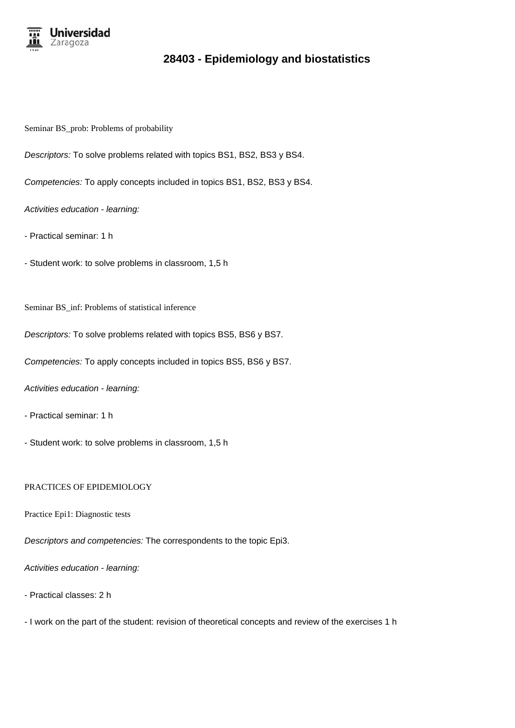

Seminar BS prob: Problems of probability

Descriptors: To solve problems related with topics BS1, BS2, BS3 y BS4.

Competencies: To apply concepts included in topics BS1, BS2, BS3 y BS4.

Activities education - learning:

- Practical seminar: 1 h

- Student work: to solve problems in classroom, 1,5 h

Seminar BS\_inf: Problems of statistical inference

Descriptors: To solve problems related with topics BS5, BS6 y BS7.

Competencies: To apply concepts included in topics BS5, BS6 y BS7.

Activities education - learning:

- Practical seminar: 1 h

- Student work: to solve problems in classroom, 1,5 h

#### PRACTICES OF EPIDEMIOLOGY

Practice Epi1: Diagnostic tests

Descriptors and competencies: The correspondents to the topic Epi3.

Activities education - learning:

- Practical classes: 2 h

- I work on the part of the student: revision of theoretical concepts and review of the exercises 1 h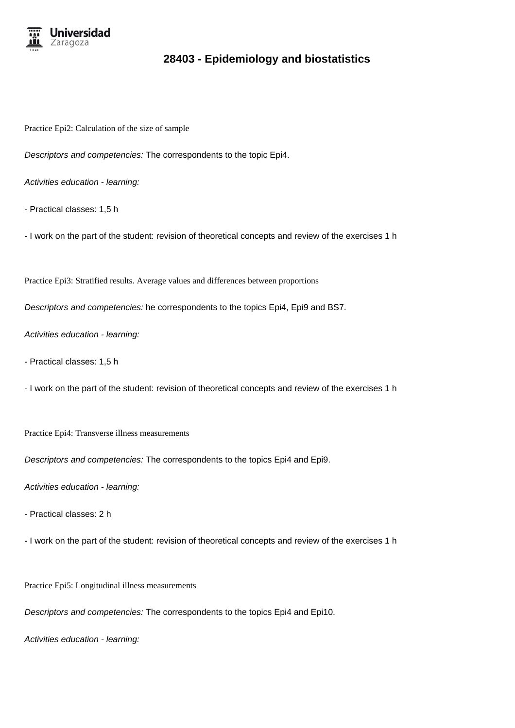

Practice Epi2: Calculation of the size of sample

Descriptors and competencies: The correspondents to the topic Epi4.

Activities education - learning:

- Practical classes: 1,5 h

- I work on the part of the student: revision of theoretical concepts and review of the exercises 1 h

Practice Epi3: Stratified results. Average values and differences between proportions

Descriptors and competencies: he correspondents to the topics Epi4, Epi9 and BS7.

Activities education - learning:

- Practical classes: 1,5 h

- I work on the part of the student: revision of theoretical concepts and review of the exercises 1 h

Practice Epi4: Transverse illness measurements

Descriptors and competencies: The correspondents to the topics Epi4 and Epi9.

Activities education - learning:

- Practical classes: 2 h

- I work on the part of the student: revision of theoretical concepts and review of the exercises 1 h

Practice Epi5: Longitudinal illness measurements

Descriptors and competencies: The correspondents to the topics Epi4 and Epi10.

Activities education - learning: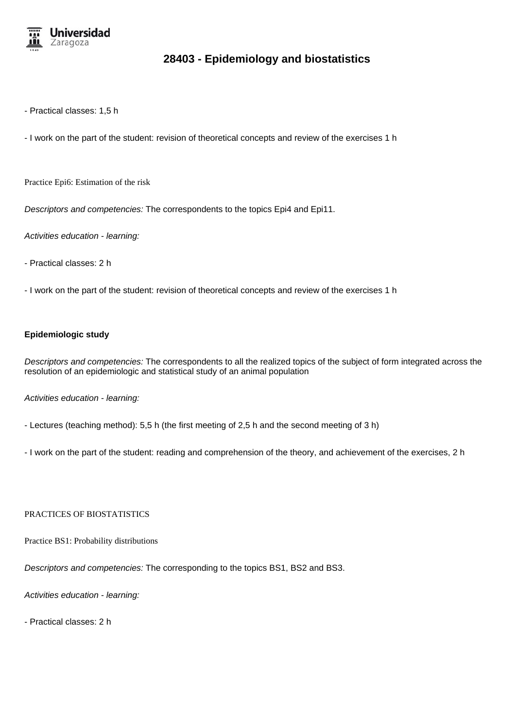

- Practical classes: 1,5 h

- I work on the part of the student: revision of theoretical concepts and review of the exercises 1 h

Practice Epi6: Estimation of the risk

Descriptors and competencies: The correspondents to the topics Epi4 and Epi11.

Activities education - learning:

- Practical classes: 2 h

- I work on the part of the student: revision of theoretical concepts and review of the exercises 1 h

#### **Epidemiologic study**

Descriptors and competencies: The correspondents to all the realized topics of the subject of form integrated across the resolution of an epidemiologic and statistical study of an animal population

Activities education - learning:

- Lectures (teaching method): 5,5 h (the first meeting of 2,5 h and the second meeting of 3 h)

- I work on the part of the student: reading and comprehension of the theory, and achievement of the exercises, 2 h

PRACTICES OF BIOSTATISTICS

Practice BS1: Probability distributions

Descriptors and competencies: The corresponding to the topics BS1, BS2 and BS3.

Activities education - learning:

- Practical classes: 2 h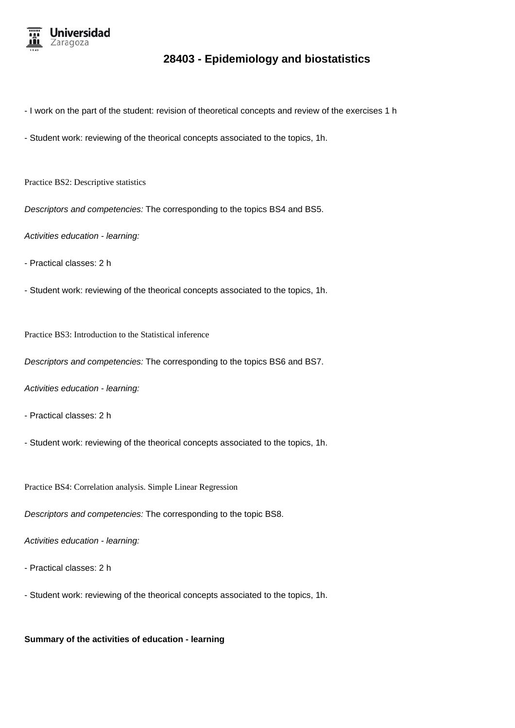

- I work on the part of the student: revision of theoretical concepts and review of the exercises 1 h

- Student work: reviewing of the theorical concepts associated to the topics, 1h.

Practice BS2: Descriptive statistics

Descriptors and competencies: The corresponding to the topics BS4 and BS5.

Activities education - learning:

- Practical classes: 2 h

- Student work: reviewing of the theorical concepts associated to the topics, 1h.

Practice BS3: Introduction to the Statistical inference

Descriptors and competencies: The corresponding to the topics BS6 and BS7.

Activities education - learning:

- Practical classes: 2 h

- Student work: reviewing of the theorical concepts associated to the topics, 1h.

Practice BS4: Correlation analysis. Simple Linear Regression

Descriptors and competencies: The corresponding to the topic BS8.

Activities education - learning:

- Practical classes: 2 h
- Student work: reviewing of the theorical concepts associated to the topics, 1h.

#### **Summary of the activities of education - learning**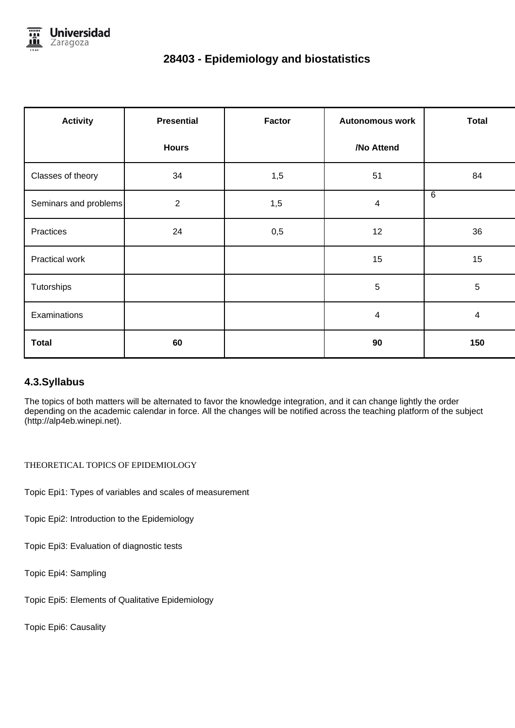

| <b>Activity</b>       | <b>Presential</b> | <b>Factor</b> | <b>Autonomous work</b> | <b>Total</b>   |
|-----------------------|-------------------|---------------|------------------------|----------------|
|                       | <b>Hours</b>      |               | /No Attend             |                |
| Classes of theory     | 34                | 1,5           | 51                     | 84             |
| Seminars and problems | $\overline{2}$    | 1,5           | $\overline{4}$         | 6              |
| Practices             | 24                | 0,5           | 12                     | 36             |
| Practical work        |                   |               | 15                     | 15             |
| Tutorships            |                   |               | $\sqrt{5}$             | $\sqrt{5}$     |
| Examinations          |                   |               | $\overline{4}$         | $\overline{4}$ |
| <b>Total</b>          | 60                |               | 90                     | 150            |

### **4.3.Syllabus**

The topics of both matters will be alternated to favor the knowledge integration, and it can change lightly the order depending on the academic calendar in force. All the changes will be notified across the teaching platform of the subject (http://alp4eb.winepi.net).

THEORETICAL TOPICS OF EPIDEMIOLOGY

Topic Epi1: Types of variables and scales of measurement

Topic Epi2: Introduction to the Epidemiology

Topic Epi3: Evaluation of diagnostic tests

Topic Epi4: Sampling

Topic Epi5: Elements of Qualitative Epidemiology

Topic Epi6: Causality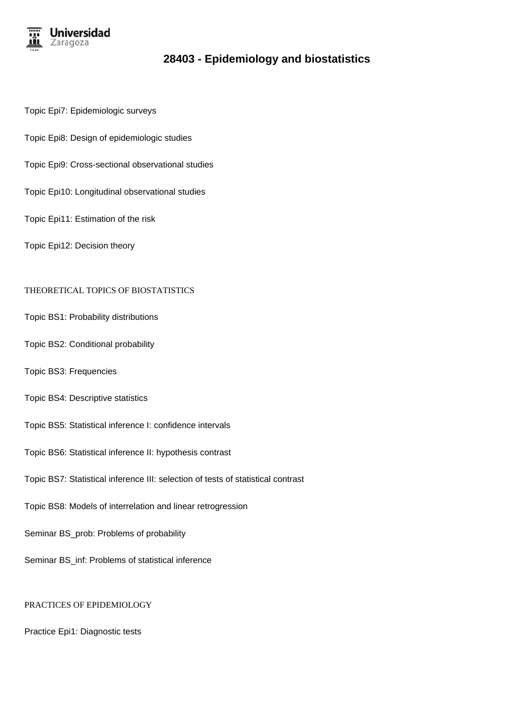

- Topic Epi7: Epidemiologic surveys
- Topic Epi8: Design of epidemiologic studies
- Topic Epi9: Cross-sectional observational studies
- Topic Epi10: Longitudinal observational studies
- Topic Epi11: Estimation of the risk
- Topic Epi12: Decision theory

#### THEORETICAL TOPICS OF BIOSTATISTICS

- Topic BS1: Probability distributions
- Topic BS2: Conditional probability
- Topic BS3: Frequencies
- Topic BS4: Descriptive statistics
- Topic BS5: Statistical inference I: confidence intervals
- Topic BS6: Statistical inference II: hypothesis contrast
- Topic BS7: Statistical inference III: selection of tests of statistical contrast
- Topic BS8: Models of interrelation and linear retrogression
- Seminar BS\_prob: Problems of probability
- Seminar BS\_inf: Problems of statistical inference

#### PRACTICES OF EPIDEMIOLOGY

Practice Epi1: Diagnostic tests